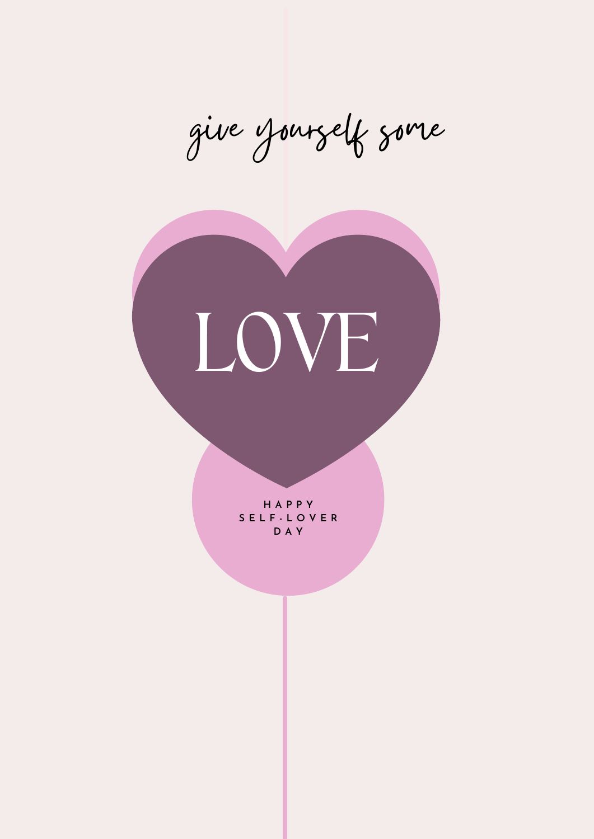give yourself some



**H A P P Y S E L F - L O V E R D A Y**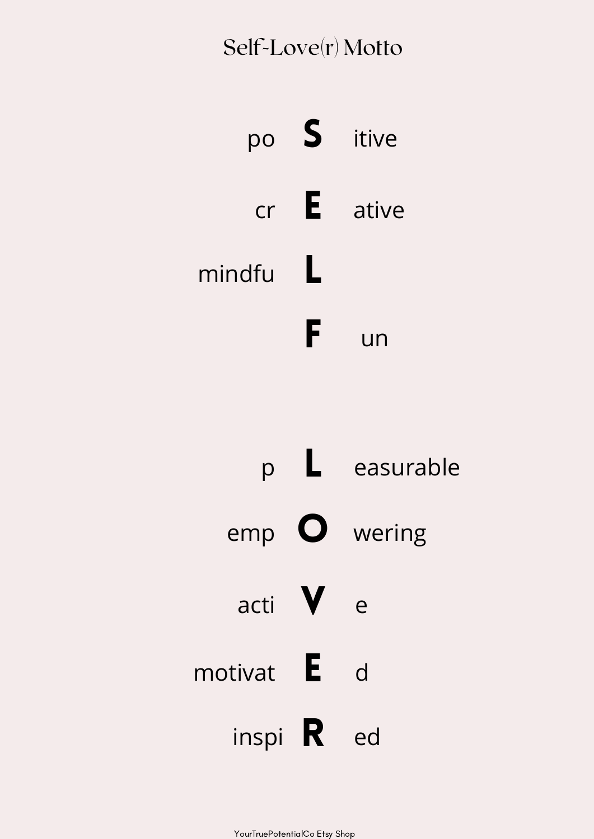# Self-Love(r) Motto



|                   | easurable |                       |
|-------------------|-----------|-----------------------|
| emp               |           | $\overline{O}$ wering |
| acti              |           | e                     |
| motivat           | -E        | d                     |
| inspi $\mathbf R$ |           | ed                    |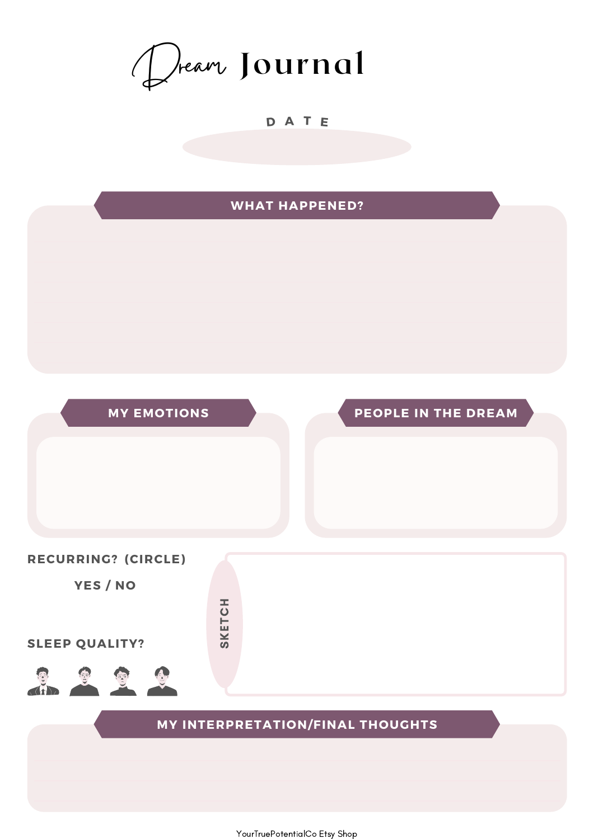Dream **Journal**

#### **D A T E**

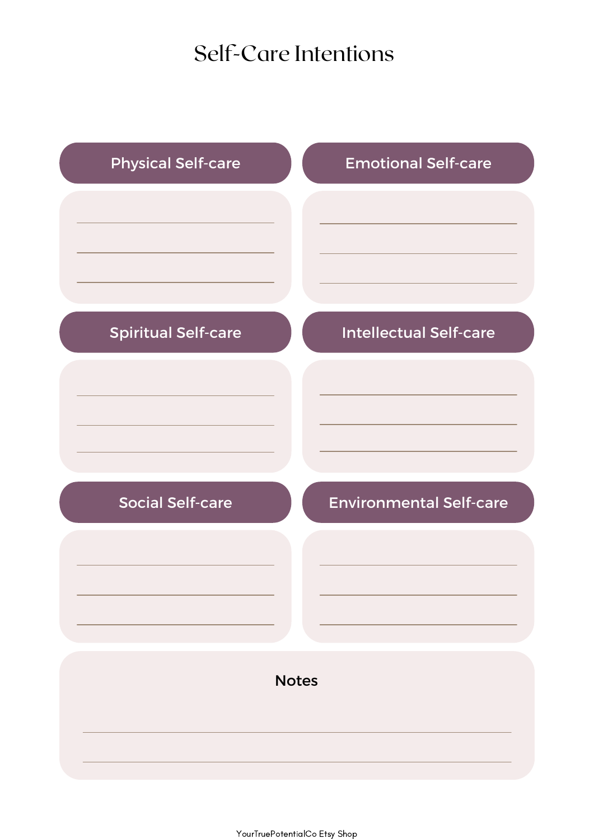### Self-Care Intentions

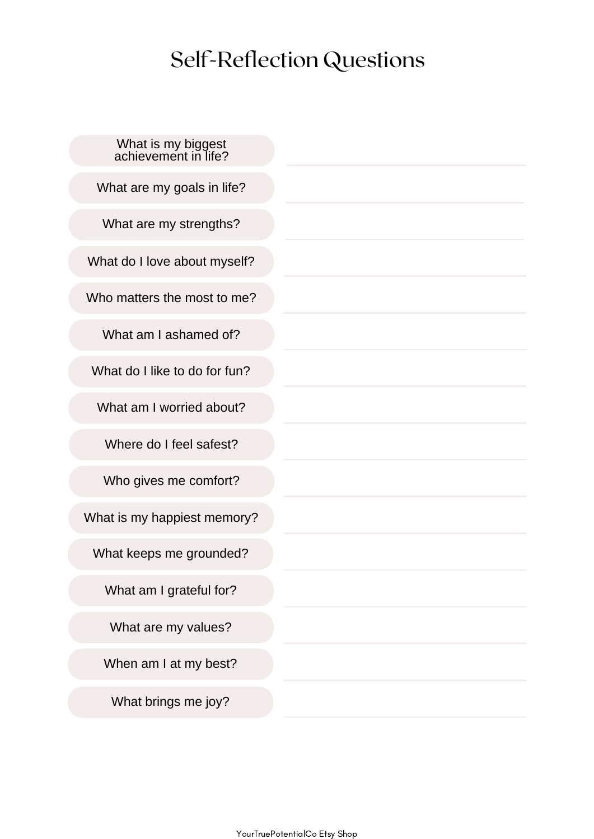# Self-Reflection Questions

| What is my biggest<br>achievement in life? |
|--------------------------------------------|
| What are my goals in life?                 |
| What are my strengths?                     |
| What do I love about myself?               |
| Who matters the most to me?                |
| What am I ashamed of?                      |
| What do I like to do for fun?              |
| What am I worried about?                   |
| Where do I feel safest?                    |
| Who gives me comfort?                      |
| What is my happiest memory?                |
| What keeps me grounded?                    |
| What am I grateful for?                    |
| What are my values?                        |
| When am I at my best?                      |
| What brings me joy?                        |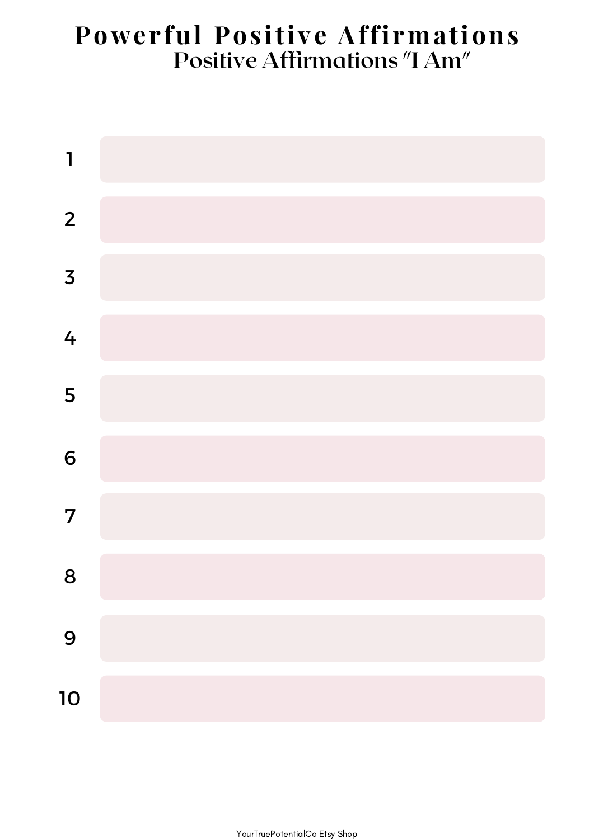### **Power ful Pos itive Affi rmations Positive Affirmations "I Am"**

| $\mathbf{I}$            |  |
|-------------------------|--|
| $\overline{2}$          |  |
| $\overline{\mathbf{3}}$ |  |
| 4                       |  |
| 5                       |  |
| 6                       |  |
| $\overline{7}$          |  |
| 8                       |  |
| 9                       |  |
| 10                      |  |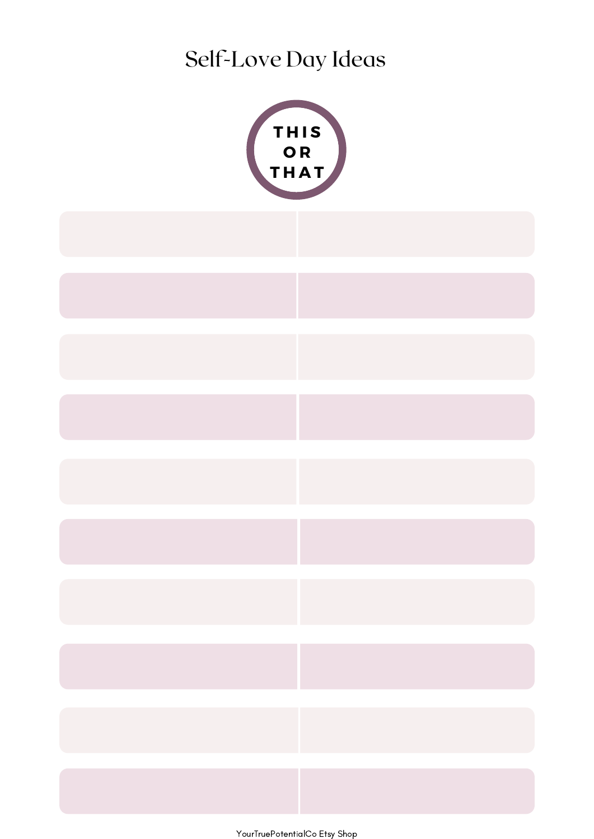Self-Love Day Ideas

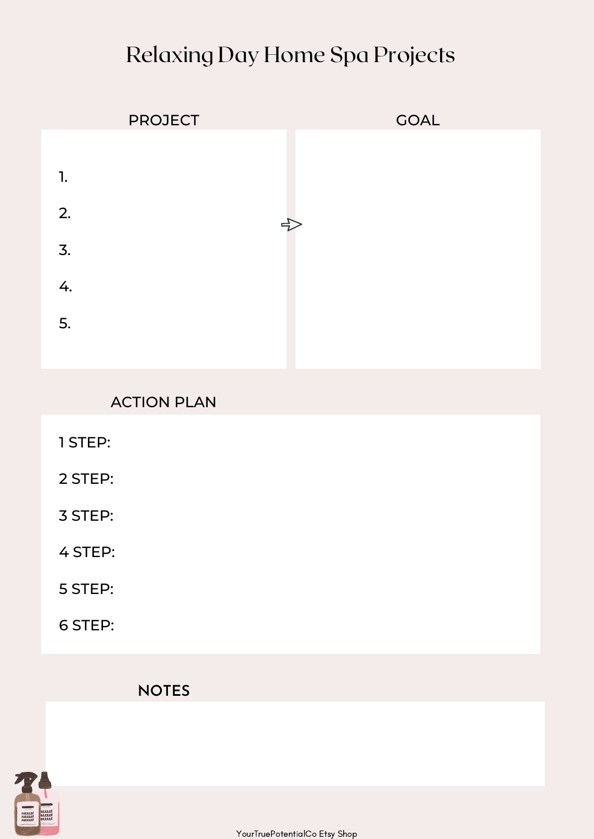### Relaxing Day Home Spa Projects

![](_page_7_Figure_1.jpeg)

### ACTION PLAN

- 1 STEP:
- 2 STEP:
- 3 STEP:
- 4 STEP:
- 5 STEP:
- 6 STEP:

#### **NOTES**

![](_page_7_Picture_10.jpeg)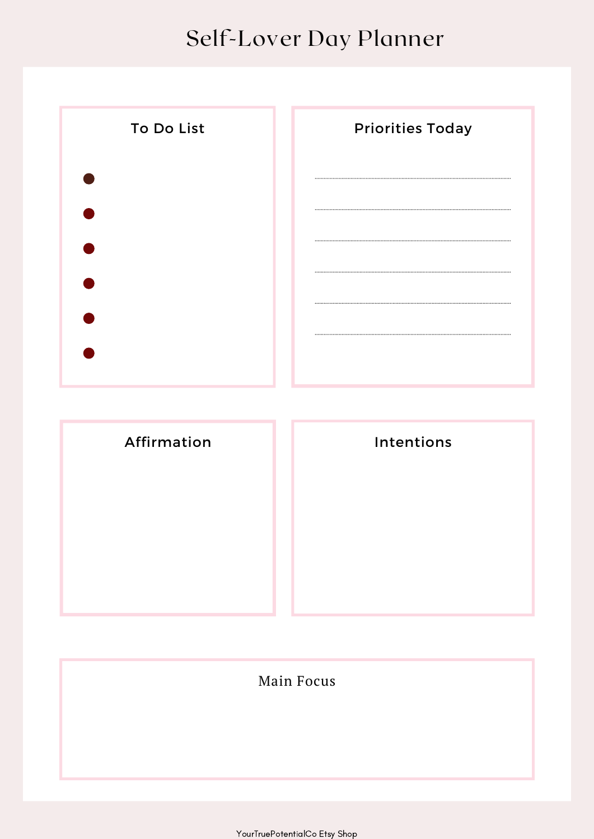## Self-Lover Day Planner

![](_page_8_Figure_1.jpeg)

| Intentions |  |
|------------|--|
|            |  |
|            |  |
|            |  |
|            |  |

#### Main Focus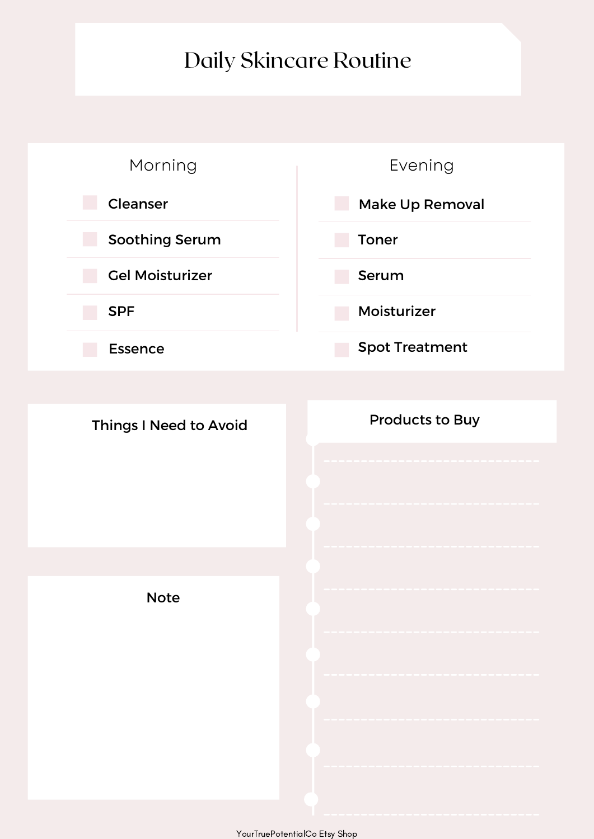### Daily Skincare Routine

![](_page_9_Figure_1.jpeg)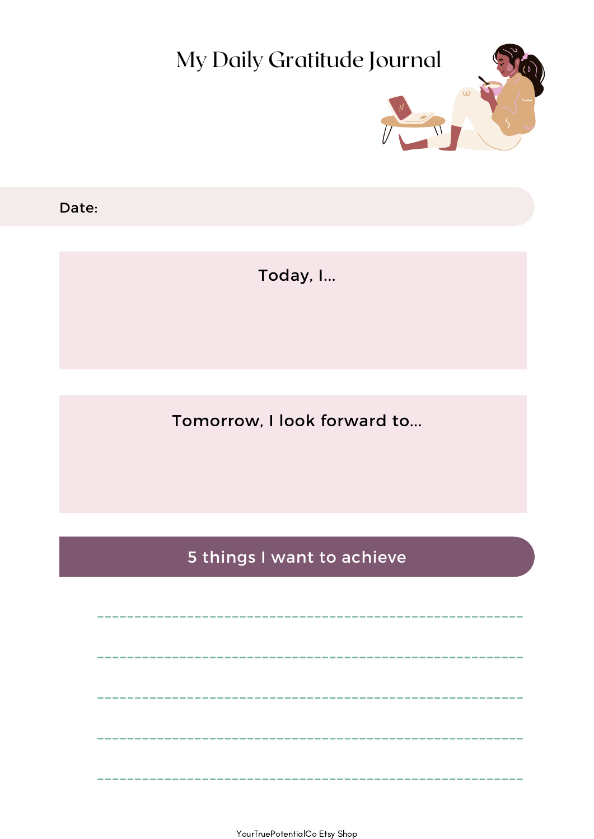![](_page_10_Picture_0.jpeg)

Date:

Today, I...

Tomorrow, I look forward to...

5 things I want to achieve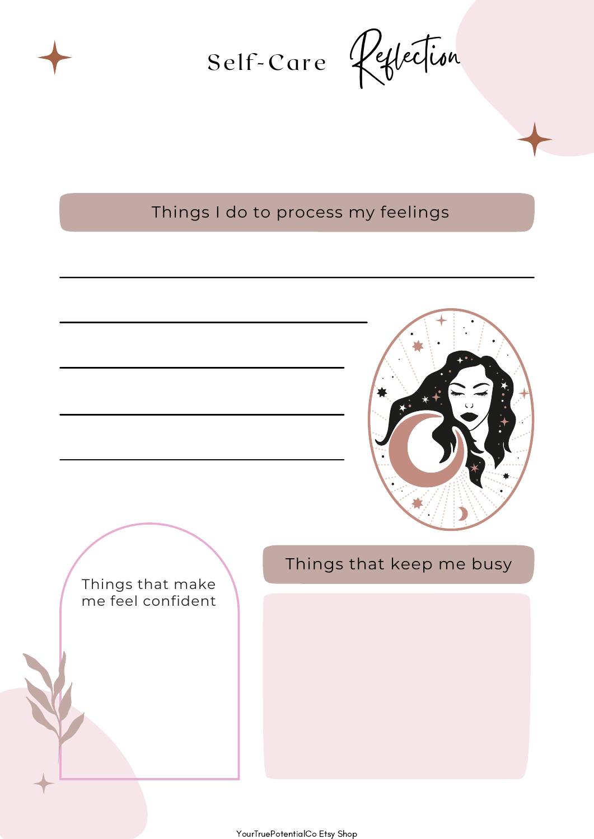![](_page_11_Picture_0.jpeg)

Self-Care Reflection

Things I do to process my feelings

![](_page_11_Picture_4.jpeg)

Things that make me feel confident Things that keep me busy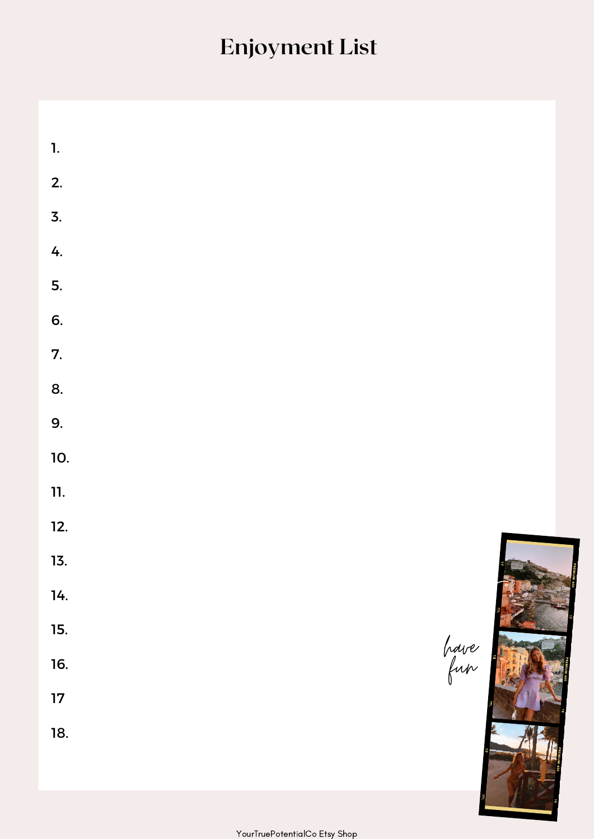# **Enjoyment List**

| $\mathbf{1}$ .   |  |      |
|------------------|--|------|
| 2.               |  |      |
| $\overline{3}$ . |  |      |
| 4.               |  |      |
| 5.               |  |      |
| 6.               |  |      |
| 7.               |  |      |
| 8.               |  |      |
| 9.               |  |      |
| 10.              |  |      |
| 11.              |  |      |
| 12.              |  |      |
| 13.              |  | E    |
| 14.              |  |      |
| 15.              |  |      |
| 16.              |  | have |
| $17\phantom{.0}$ |  |      |
| 18.              |  |      |
|                  |  |      |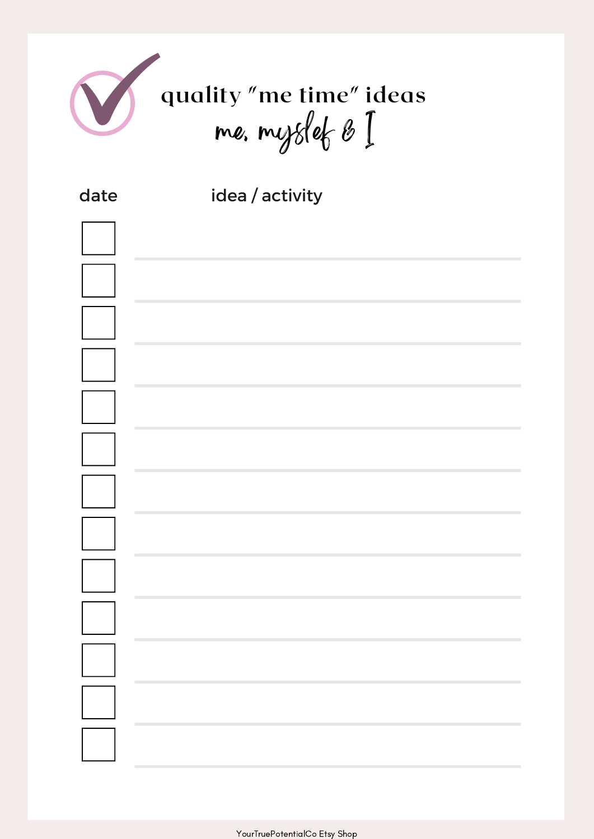![](_page_13_Picture_0.jpeg)

| date | idea / activity |
|------|-----------------|
|      |                 |
|      |                 |
|      |                 |
|      |                 |
|      |                 |
|      |                 |
|      |                 |
|      |                 |
|      |                 |
|      |                 |
|      |                 |
|      | T.              |
|      | <b>COL</b>      |